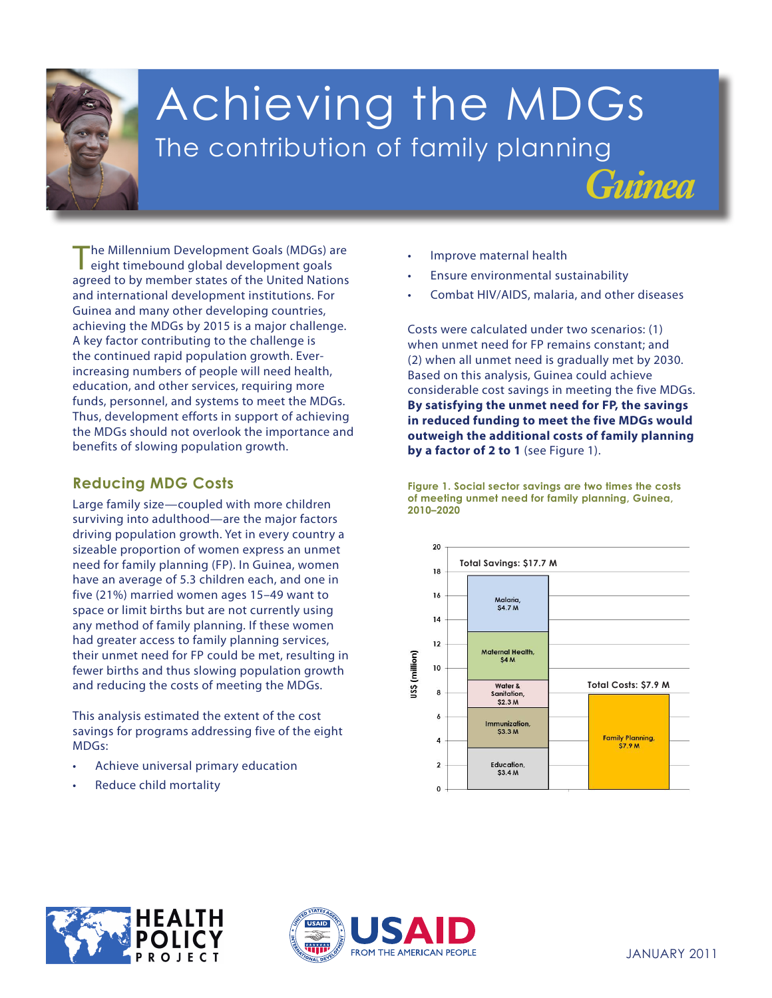

# Achieving the MDGs The contribution of family planning

The Millennium Development Goals (MDGs) are eight timebound global development goals agreed to by member states of the United Nations and international development institutions. For Guinea and many other developing countries, achieving the MDGs by 2015 is a major challenge. A key factor contributing to the challenge is the continued rapid population growth. Everincreasing numbers of people will need health, education, and other services, requiring more funds, personnel, and systems to meet the MDGs. Thus, development efforts in support of achieving the MDGs should not overlook the importance and benefits of slowing population growth.

## **Reducing MDG Costs**

and reducing the costs of meeting the MDGs. Large family size—coupled with more children surviving into adulthood—are the major factors driving population growth. Yet in every country a sizeable proportion of women express an unmet need for family planning (FP). In Guinea, women have an average of 5.3 children each, and one in five (21%) married women ages 15–49 want to space or limit births but are not currently using any method of family planning. If these women had greater access to family planning services, their unmet need for FP could be met, resulting in fewer births and thus slowing population growth

**poverty and hunger 2.** This analysis estimated the extent of the cost **primary education** savings for programs addressing five of the eight **3. Promote gender** MDGs:

- **equality andempower** Achieve universal primary education **women**
- **4. Reduce child mortality** Reduce child mortality
- Improve maternal health
- Ensure environmental sustainability
- Combat HIV/AIDS, malaria, and other diseases

*Guinea*

Costs were calculated under two scenarios: (1) when unmet need for FP remains constant; and (2) when all unmet need is gradually met by 2030. Based on this analysis, Guinea could achieve considerable cost savings in meeting the five MDGs. **By satisfying the unmet need for FP, the savings in reduced funding to meet the five MDGs would outweigh the additional costs of family planning**  by a factor of 2 to 1 (see Figure 1).

**Figure 1. Social sector savings are two times the costs of meeting unmet need for family planning, Guinea, 2010–2020**